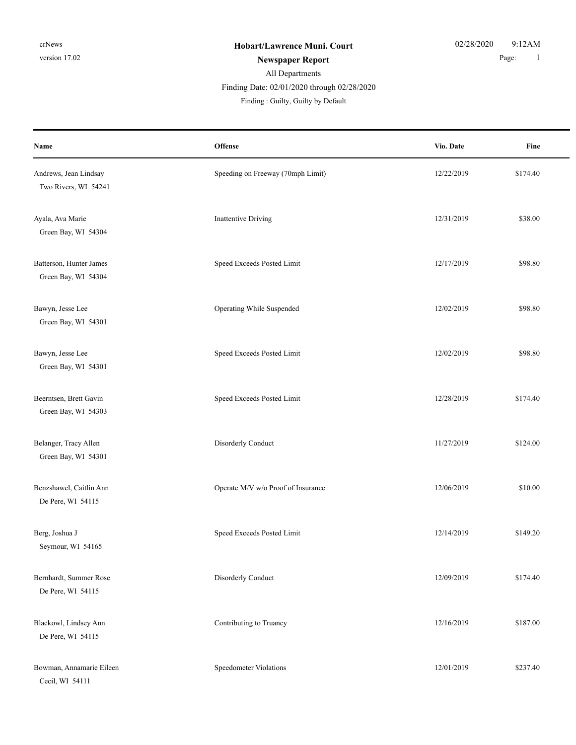## All Departments Finding Date: 02/01/2020 through 02/28/2020

| Name                                           | Offense                            | Vio. Date  | Fine     |
|------------------------------------------------|------------------------------------|------------|----------|
| Andrews, Jean Lindsay<br>Two Rivers, WI 54241  | Speeding on Freeway (70mph Limit)  | 12/22/2019 | \$174.40 |
| Ayala, Ava Marie<br>Green Bay, WI 54304        | <b>Inattentive Driving</b>         | 12/31/2019 | \$38.00  |
| Batterson, Hunter James<br>Green Bay, WI 54304 | Speed Exceeds Posted Limit         | 12/17/2019 | \$98.80  |
| Bawyn, Jesse Lee<br>Green Bay, WI 54301        | Operating While Suspended          | 12/02/2019 | \$98.80  |
| Bawyn, Jesse Lee<br>Green Bay, WI 54301        | Speed Exceeds Posted Limit         | 12/02/2019 | \$98.80  |
| Beerntsen, Brett Gavin<br>Green Bay, WI 54303  | Speed Exceeds Posted Limit         | 12/28/2019 | \$174.40 |
| Belanger, Tracy Allen<br>Green Bay, WI 54301   | Disorderly Conduct                 | 11/27/2019 | \$124.00 |
| Benzshawel, Caitlin Ann<br>De Pere, WI 54115   | Operate M/V w/o Proof of Insurance | 12/06/2019 | \$10.00  |
| Berg, Joshua J<br>Seymour, WI 54165            | Speed Exceeds Posted Limit         | 12/14/2019 | \$149.20 |
| Bernhardt, Summer Rose<br>De Pere, WI 54115    | Disorderly Conduct                 | 12/09/2019 | \$174.40 |
| Blackowl, Lindsey Ann<br>De Pere, WI 54115     | Contributing to Truancy            | 12/16/2019 | \$187.00 |
| Bowman, Annamarie Eileen<br>Cecil, WI 54111    | Speedometer Violations             | 12/01/2019 | \$237.40 |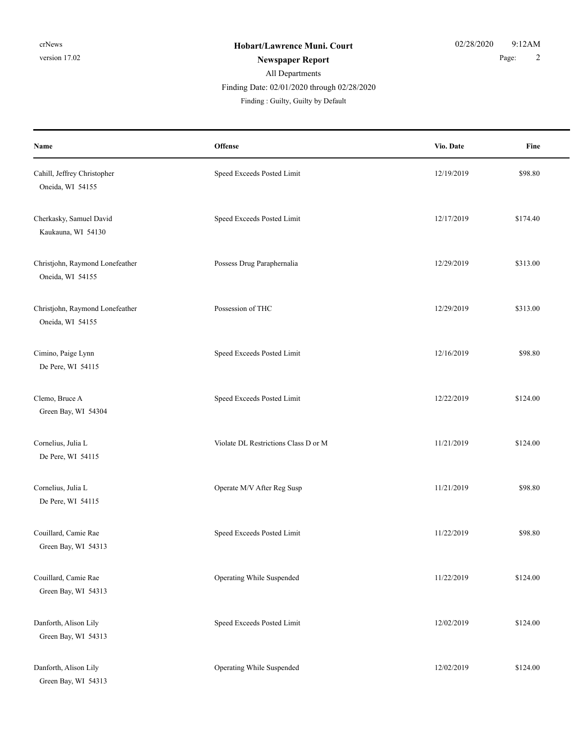### All Departments **Newspaper Report** 2 Finding Date: 02/01/2020 through 02/28/2020

| Name                                                | Offense                              | Vio. Date  | Fine     |
|-----------------------------------------------------|--------------------------------------|------------|----------|
| Cahill, Jeffrey Christopher<br>Oneida, WI 54155     | Speed Exceeds Posted Limit           | 12/19/2019 | \$98.80  |
| Cherkasky, Samuel David<br>Kaukauna, WI 54130       | Speed Exceeds Posted Limit           | 12/17/2019 | \$174.40 |
| Christjohn, Raymond Lonefeather<br>Oneida, WI 54155 | Possess Drug Paraphernalia           | 12/29/2019 | \$313.00 |
| Christjohn, Raymond Lonefeather<br>Oneida, WI 54155 | Possession of THC                    | 12/29/2019 | \$313.00 |
| Cimino, Paige Lynn<br>De Pere, WI 54115             | Speed Exceeds Posted Limit           | 12/16/2019 | \$98.80  |
| Clemo, Bruce A<br>Green Bay, WI 54304               | Speed Exceeds Posted Limit           | 12/22/2019 | \$124.00 |
| Cornelius, Julia L<br>De Pere, WI 54115             | Violate DL Restrictions Class D or M | 11/21/2019 | \$124.00 |
| Cornelius, Julia L<br>De Pere, WI 54115             | Operate M/V After Reg Susp           | 11/21/2019 | \$98.80  |
| Couillard, Camie Rae<br>Green Bay, WI 54313         | Speed Exceeds Posted Limit           | 11/22/2019 | \$98.80  |
| Couillard, Camie Rae<br>Green Bay, WI 54313         | Operating While Suspended            | 11/22/2019 | \$124.00 |
| Danforth, Alison Lily<br>Green Bay, WI 54313        | Speed Exceeds Posted Limit           | 12/02/2019 | \$124.00 |
| Danforth, Alison Lily<br>Green Bay, WI 54313        | Operating While Suspended            | 12/02/2019 | \$124.00 |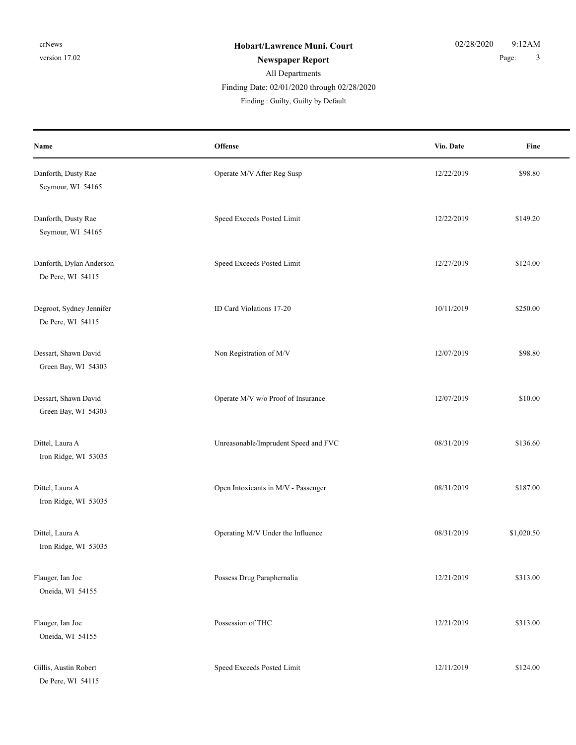## All Departments

Finding Date: 02/01/2020 through 02/28/2020

| Name                                          | <b>Offense</b>                       | Vio. Date  | Fine       |
|-----------------------------------------------|--------------------------------------|------------|------------|
| Danforth, Dusty Rae<br>Seymour, WI 54165      | Operate M/V After Reg Susp           | 12/22/2019 | \$98.80    |
| Danforth, Dusty Rae<br>Seymour, WI 54165      | Speed Exceeds Posted Limit           | 12/22/2019 | \$149.20   |
| Danforth, Dylan Anderson<br>De Pere, WI 54115 | Speed Exceeds Posted Limit           | 12/27/2019 | \$124.00   |
| Degroot, Sydney Jennifer<br>De Pere, WI 54115 | ID Card Violations 17-20             | 10/11/2019 | \$250.00   |
| Dessart, Shawn David<br>Green Bay, WI 54303   | Non Registration of M/V              | 12/07/2019 | \$98.80    |
| Dessart, Shawn David<br>Green Bay, WI 54303   | Operate M/V w/o Proof of Insurance   | 12/07/2019 | \$10.00    |
| Dittel, Laura A<br>Iron Ridge, WI 53035       | Unreasonable/Imprudent Speed and FVC | 08/31/2019 | \$136.60   |
| Dittel, Laura A<br>Iron Ridge, WI 53035       | Open Intoxicants in M/V - Passenger  | 08/31/2019 | \$187.00   |
| Dittel, Laura A<br>Iron Ridge, WI 53035       | Operating M/V Under the Influence    | 08/31/2019 | \$1,020.50 |
| Flauger, Ian Joe<br>Oneida, WI 54155          | Possess Drug Paraphernalia           | 12/21/2019 | \$313.00   |
| Flauger, Ian Joe<br>Oneida, WI 54155          | Possession of THC                    | 12/21/2019 | \$313.00   |
| Gillis, Austin Robert<br>De Pere, WI 54115    | Speed Exceeds Posted Limit           | 12/11/2019 | \$124.00   |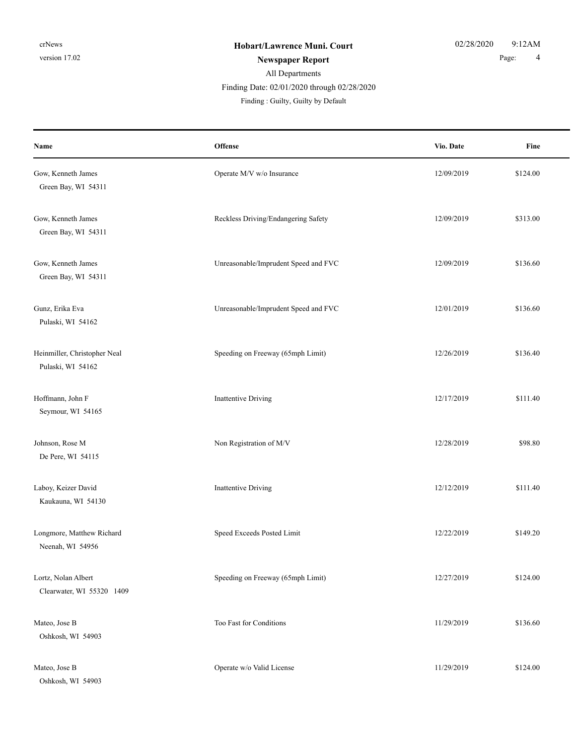## All Departments

#### Finding Date: 02/01/2020 through 02/28/2020

| Name                                              | Offense                              | Vio. Date  | Fine     |
|---------------------------------------------------|--------------------------------------|------------|----------|
| Gow, Kenneth James<br>Green Bay, WI 54311         | Operate M/V w/o Insurance            | 12/09/2019 | \$124.00 |
| Gow, Kenneth James<br>Green Bay, WI 54311         | Reckless Driving/Endangering Safety  | 12/09/2019 | \$313.00 |
| Gow, Kenneth James<br>Green Bay, WI 54311         | Unreasonable/Imprudent Speed and FVC | 12/09/2019 | \$136.60 |
| Gunz, Erika Eva<br>Pulaski, WI 54162              | Unreasonable/Imprudent Speed and FVC | 12/01/2019 | \$136.60 |
| Heinmiller, Christopher Neal<br>Pulaski, WI 54162 | Speeding on Freeway (65mph Limit)    | 12/26/2019 | \$136.40 |
| Hoffmann, John F<br>Seymour, WI 54165             | <b>Inattentive Driving</b>           | 12/17/2019 | \$111.40 |
| Johnson, Rose M<br>De Pere, WI 54115              | Non Registration of M/V              | 12/28/2019 | \$98.80  |
| Laboy, Keizer David<br>Kaukauna, WI 54130         | <b>Inattentive Driving</b>           | 12/12/2019 | \$111.40 |
| Longmore, Matthew Richard<br>Neenah, WI 54956     | Speed Exceeds Posted Limit           | 12/22/2019 | \$149.20 |
| Lortz, Nolan Albert<br>Clearwater, WI 55320 1409  | Speeding on Freeway (65mph Limit)    | 12/27/2019 | \$124.00 |
| Mateo, Jose B<br>Oshkosh, WI 54903                | Too Fast for Conditions              | 11/29/2019 | \$136.60 |
| Mateo, Jose B<br>Oshkosh, WI 54903                | Operate w/o Valid License            | 11/29/2019 | \$124.00 |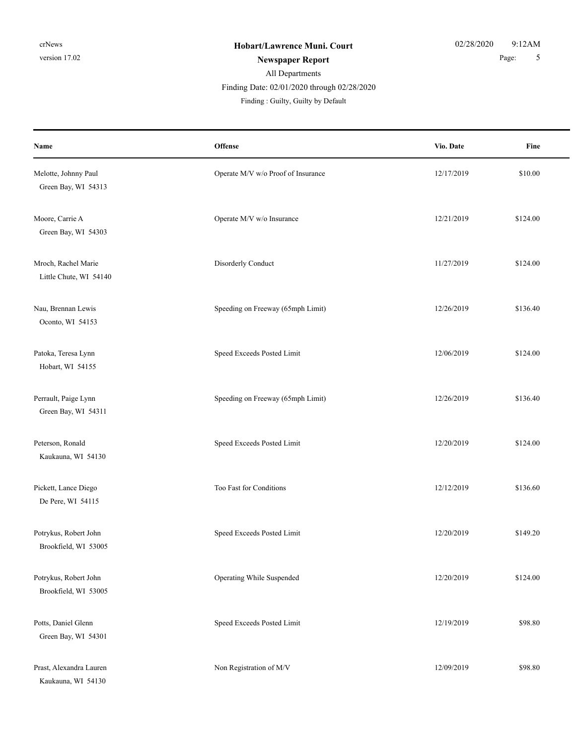# All Departments

Finding Date: 02/01/2020 through 02/28/2020

| Name                                          | Offense                            | Vio. Date  | Fine     |
|-----------------------------------------------|------------------------------------|------------|----------|
| Melotte, Johnny Paul<br>Green Bay, WI 54313   | Operate M/V w/o Proof of Insurance | 12/17/2019 | \$10.00  |
| Moore, Carrie A<br>Green Bay, WI 54303        | Operate M/V w/o Insurance          | 12/21/2019 | \$124.00 |
| Mroch, Rachel Marie<br>Little Chute, WI 54140 | Disorderly Conduct                 | 11/27/2019 | \$124.00 |
| Nau, Brennan Lewis<br>Oconto, WI 54153        | Speeding on Freeway (65mph Limit)  | 12/26/2019 | \$136.40 |
| Patoka, Teresa Lynn<br>Hobart, WI 54155       | Speed Exceeds Posted Limit         | 12/06/2019 | \$124.00 |
| Perrault, Paige Lynn<br>Green Bay, WI 54311   | Speeding on Freeway (65mph Limit)  | 12/26/2019 | \$136.40 |
| Peterson, Ronald<br>Kaukauna, WI 54130        | Speed Exceeds Posted Limit         | 12/20/2019 | \$124.00 |
| Pickett, Lance Diego<br>De Pere, WI 54115     | Too Fast for Conditions            | 12/12/2019 | \$136.60 |
| Potrykus, Robert John<br>Brookfield, WI 53005 | Speed Exceeds Posted Limit         | 12/20/2019 | \$149.20 |
| Potrykus, Robert John<br>Brookfield, WI 53005 | Operating While Suspended          | 12/20/2019 | \$124.00 |
| Potts, Daniel Glenn<br>Green Bay, WI 54301    | Speed Exceeds Posted Limit         | 12/19/2019 | \$98.80  |
| Prast, Alexandra Lauren<br>Kaukauna, WI 54130 | Non Registration of M/V            | 12/09/2019 | \$98.80  |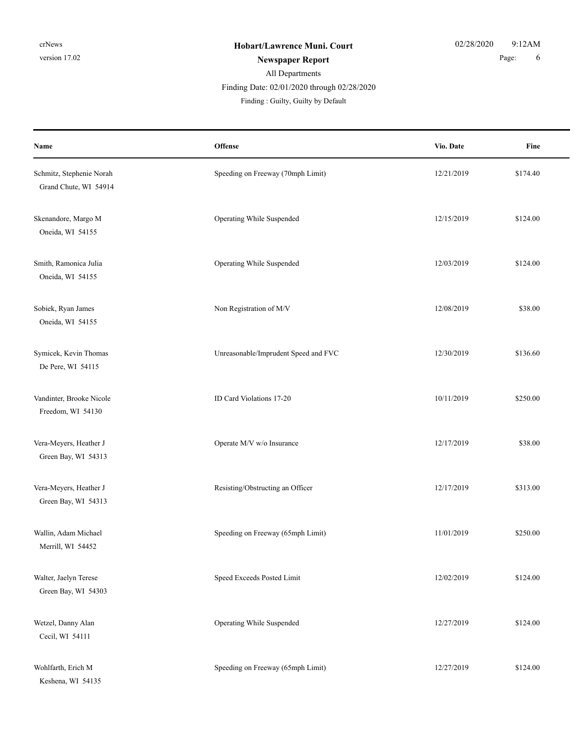## All Departments Finding Date: 02/01/2020 through 02/28/2020

| Name                                              | Offense                              | Vio. Date  | Fine     |
|---------------------------------------------------|--------------------------------------|------------|----------|
| Schmitz, Stephenie Norah<br>Grand Chute, WI 54914 | Speeding on Freeway (70mph Limit)    | 12/21/2019 | \$174.40 |
| Skenandore, Margo M<br>Oneida, WI 54155           | Operating While Suspended            | 12/15/2019 | \$124.00 |
| Smith, Ramonica Julia<br>Oneida, WI 54155         | Operating While Suspended            | 12/03/2019 | \$124.00 |
| Sobiek, Ryan James<br>Oneida, WI 54155            | Non Registration of M/V              | 12/08/2019 | \$38.00  |
| Symicek, Kevin Thomas<br>De Pere, WI 54115        | Unreasonable/Imprudent Speed and FVC | 12/30/2019 | \$136.60 |
| Vandinter, Brooke Nicole<br>Freedom, WI 54130     | ID Card Violations 17-20             | 10/11/2019 | \$250.00 |
| Vera-Meyers, Heather J<br>Green Bay, WI 54313     | Operate M/V w/o Insurance            | 12/17/2019 | \$38.00  |
| Vera-Meyers, Heather J<br>Green Bay, WI 54313     | Resisting/Obstructing an Officer     | 12/17/2019 | \$313.00 |
| Wallin, Adam Michael<br>Merrill, WI 54452         | Speeding on Freeway (65mph Limit)    | 11/01/2019 | \$250.00 |
| Walter, Jaelyn Terese<br>Green Bay, WI 54303      | Speed Exceeds Posted Limit           | 12/02/2019 | \$124.00 |
| Wetzel, Danny Alan<br>Cecil, WI 54111             | Operating While Suspended            | 12/27/2019 | \$124.00 |
| Wohlfarth, Erich M<br>Keshena, WI 54135           | Speeding on Freeway (65mph Limit)    | 12/27/2019 | \$124.00 |